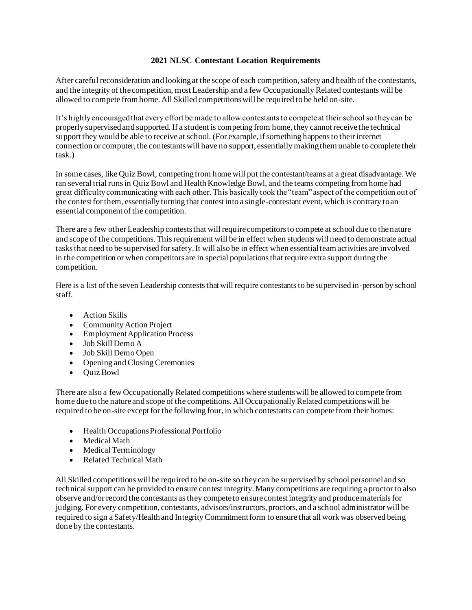## **2021 NLSC Contestant Location Requirements**

After careful reconsideration and looking at the scope of each competition, safety and health of the contestants, and the integrity of the competition, most Leadership and a few Occupationally Related contestants will be allowed to compete from home. All Skilled competitions will be required to be held on-site.

It's highly encouraged that every effort be made to allow contestants to compete at their school so they can be properly supervised and supported. If a student is competing from home, they cannot receive the technical support they would be able to receive at school. (For example, if something happens to their internet connection or computer, the contestants will have no support, essentially making them unable to complete their task.)

In some cases, like Quiz Bowl, competing from home will put the contestant/teams at a great disadvantage. We ran several trial runs in Quiz Bowl and Health Knowledge Bowl, and the teams competing from home had great difficulty communicating with each other. This basically took the "team" aspect of the competition out of the contest for them, essentially turning that contest into a single-contestant event, which is contrary to an essential component of the competition.

There are a few other Leadership contests that will require competitors to compete at school due to the nature and scope of the competitions. This requirement will be in effect when students will need to demonstrate actual tasks that need to be supervised for safety. It will also be in effect when essential team activities are involved in the competition or when competitors are in special populations that require extra support during the competition.

Here is a list of the seven Leadership contests that will require contestants to be supervised in-person by school staff.

- Action Skills
- Community Action Project
- Employment Application Process
- Job Skill Demo A
- Job Skill Demo Open
- Opening and Closing Ceremonies
- Quiz Bowl

There are also a few Occupationally Related competitions where students will be allowed to compete from home due to the nature and scope of the competitions. All Occupationally Related competitions will be required to be on-site except for the following four, in which contestants can compete from their homes:

- Health Occupations Professional Portfolio
- Medical Math
- Medical Terminology
- Related Technical Math

All Skilled competitions will be required to be on-site so they can be supervised by school personnel and so technical support can be provided to ensure contest integrity. Many competitions are requiring a proctor to also observe and/or record the contestants as they compete to ensure contest integrity and produce materials for judging. For every competition, contestants, advisors/instructors, proctors, and a school administrator will be required to sign a Safety/Health and Integrity Commitment form to ensure that all work was observed being done by the contestants.